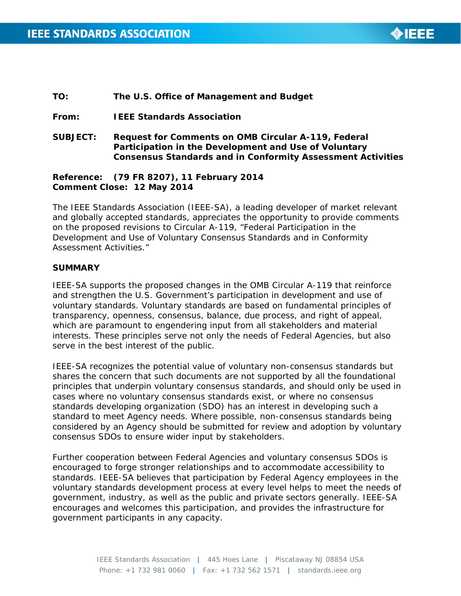

#### **TO: The U.S. Office of Management and Budget**

**From: IEEE Standards Association**

**SUBJECT: Request for Comments on OMB Circular A-119, Federal Participation in the Development and Use of Voluntary Consensus Standards and in Conformity Assessment Activities** 

## **Reference: (79 FR 8207), 11 February 2014 Comment Close: 12 May 2014**

The IEEE Standards Association (IEEE-SA), a leading developer of market relevant and globally accepted standards, appreciates the opportunity to provide comments on the proposed revisions to Circular A-119, "Federal Participation in the Development and Use of Voluntary Consensus Standards and in Conformity Assessment Activities."

#### **SUMMARY**

IEEE-SA supports the proposed changes in the OMB Circular A-119 that reinforce and strengthen the U.S. Government's participation in development and use of voluntary standards. Voluntary standards are based on fundamental principles of transparency, openness, consensus, balance, due process, and right of appeal, which are paramount to engendering input from all stakeholders and material interests. These principles serve not only the needs of Federal Agencies, but also serve in the best interest of the public.

IEEE-SA recognizes the potential value of voluntary non-consensus standards but shares the concern that such documents are not supported by all the foundational principles that underpin voluntary consensus standards, and should only be used in cases where no voluntary consensus standards exist, or where no consensus standards developing organization (SDO) has an interest in developing such a standard to meet Agency needs. Where possible, non-consensus standards being considered by an Agency should be submitted for review and adoption by voluntary consensus SDOs to ensure wider input by stakeholders.

<span id="page-0-0"></span>Further cooperation between Federal Agencies and voluntary consensus SDOs is encouraged to forge stronger relationships and to accommodate accessibility to standards. IEEE-SA believes that participation by Federal Agency employees in the voluntary standards development process at every level helps to meet the needs of government, industry, as well as the public and private sectors generally. IEEE-SA encourages and welcomes this participation, and provides the infrastructure for government participants in any capacity.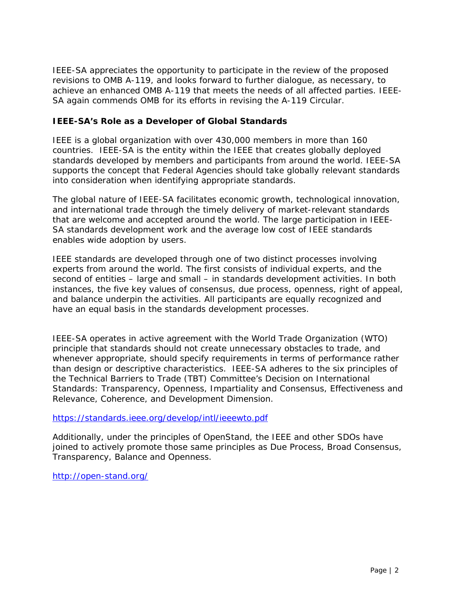IEEE-SA appreciates the opportunity to participate in the review of the proposed revisions to OMB A-119, and looks forward to further dialogue, as necessary, to achieve an enhanced OMB A-119 that meets the needs of all affected parties. IEEE-SA again commends OMB for its efforts in revising the A-119 Circular.

# **IEEE-SA's Role as a Developer of Global Standards**

IEEE is a global organization with over 430,000 members in more than 160 countries. IEEE-SA is the entity within the IEEE that creates globally deployed standards developed by members and participants from around the world. IEEE-SA supports the concept that Federal Agencies should take globally relevant standards into consideration when identifying appropriate standards.

The global nature of IEEE-SA facilitates economic growth, technological innovation, and international trade through the timely delivery of market-relevant standards that are welcome and accepted around the world. The large participation in IEEE-SA standards development work and the average low cost of IEEE standards enables wide adoption by users.

IEEE standards are developed through one of two distinct processes involving experts from around the world. The first consists of individual experts, and the second of entities – large and small – in standards development activities. In both instances, the five key values of consensus, due process, openness, right of appeal, and balance underpin the activities. All participants are equally recognized and have an equal basis in the standards development processes.

IEEE-SA operates in active agreement with the World Trade Organization (WTO) principle that standards should not create unnecessary obstacles to trade, and whenever appropriate, should specify requirements in terms of performance rather than design or descriptive characteristics. IEEE-SA adheres to the six principles of the Technical Barriers to Trade (TBT) Committee's Decision on International Standards: Transparency, Openness, Impartiality and Consensus, Effectiveness and Relevance, Coherence, and Development Dimension.

<https://standards.ieee.org/develop/intl/ieeewto.pdf>

Additionally, under the principles of OpenStand, the IEEE and other SDOs have joined to actively promote those same principles as Due Process, Broad Consensus, Transparency, Balance and Openness.

<http://open-stand.org/>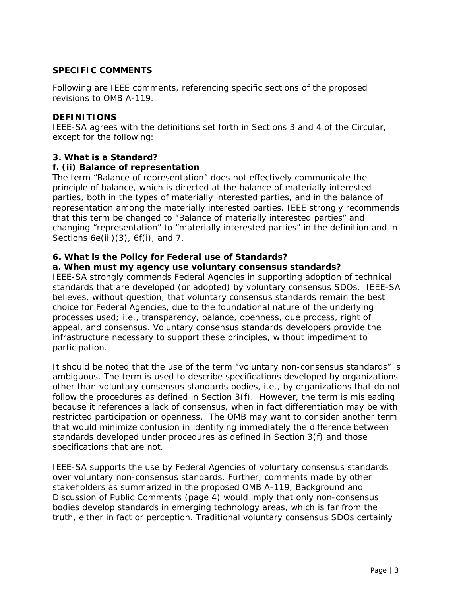# **SPECIFIC COMMENTS**

Following are IEEE comments, referencing specific sections of the proposed revisions to OMB A-119.

#### **DEFINITIONS**

IEEE-SA agrees with the definitions set forth in Sections 3 and 4 of the Circular, except for the following:

## **3. What is a Standard?**

# **f. (ii) Balance of representation**

The term "Balance of representation" does not effectively communicate the principle of balance, which is directed at the balance of materially interested parties, both in the types of materially interested parties, and in the balance of representation among the materially interested parties. IEEE strongly recommends that this term be changed to "Balance of materially interested parties" and changing "representation" to "materially interested parties" in the definition and in Sections 6e(iii)(3), 6f(i), and 7.

# **6. What is the Policy for Federal use of Standards?**

## **a. When must my agency use voluntary consensus standards?**

IEEE-SA strongly commends Federal Agencies in supporting adoption of technical standards that are developed (or adopted) by voluntary consensus SDOs. IEEE-SA believes, without question, that voluntary consensus standards remain the best choice for Federal Agencies, due to the foundational nature of the underlying processes used; i.e., transparency, balance, openness, due process, right of appeal, and consensus. Voluntary consensus standards developers provide the infrastructure necessary to support these principles, without impediment to participation.

It should be noted that the use of the term "voluntary non-consensus standards" is ambiguous. The term is used to describe specifications developed by organizations other than voluntary consensus standards bodies, i.e., by organizations that do not follow the procedures as defined in Section 3(f). However, the term is misleading because it references a lack of consensus, when in fact differentiation may be with restricted participation or openness. The OMB may want to consider another term that would minimize confusion in identifying immediately the difference between standards developed under procedures as defined in Section 3(f) and those specifications that are not.

IEEE-SA supports the use by Federal Agencies of voluntary consensus standards over voluntary non-consensus standards. Further, comments made by other stakeholders as summarized in the proposed OMB A-119, Background and Discussion of Public Comments (page 4) would imply that only non-consensus bodies develop standards in emerging technology areas, which is far from the truth, either in fact or perception. Traditional voluntary consensus SDOs certainly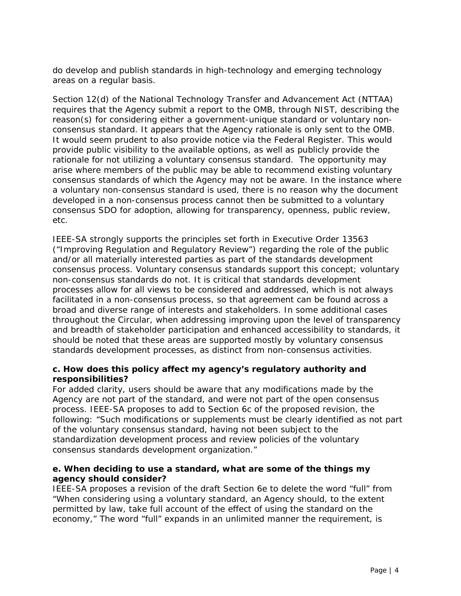do develop and publish standards in high-technology and emerging technology areas on a regular basis.

Section 12(d) of the National Technology Transfer and Advancement Act (NTTAA) requires that the Agency submit a report to the OMB, through NIST, describing the reason(s) for considering either a government-unique standard or voluntary nonconsensus standard. It appears that the Agency rationale is only sent to the OMB. It would seem prudent to also provide notice via the Federal Register. This would provide public visibility to the available options, as well as publicly provide the rationale for not utilizing a voluntary consensus standard. The opportunity may arise where members of the public may be able to recommend existing voluntary consensus standards of which the Agency may not be aware. In the instance where a voluntary non-consensus standard is used, there is no reason why the document developed in a non-consensus process cannot then be submitted to a voluntary consensus SDO for adoption, allowing for transparency, openness, public review, etc.

IEEE-SA strongly supports the principles set forth in Executive Order 13563 ("Improving Regulation and Regulatory Review") regarding the role of the public and/or all materially interested parties as part of the standards development consensus process. Voluntary consensus standards support this concept; voluntary non-consensus standards do not. It is critical that standards development processes allow for all views to be considered and addressed, which is not always facilitated in a non-consensus process, so that agreement can be found across a broad and diverse range of interests and stakeholders. In some additional cases throughout the Circular, when addressing improving upon the level of transparency and breadth of stakeholder participation and enhanced accessibility to standards, it should be noted that these areas are supported mostly by voluntary consensus standards development processes, as distinct from non-consensus activities.

# **c. How does this policy affect my agency's regulatory authority and responsibilities?**

For added clarity, users should be aware that any modifications made by the Agency are not part of the standard, and were not part of the open consensus process. IEEE-SA proposes to add to Section 6c of the proposed revision, the following: "*Such modifications or supplements must be clearly identified as not part of the voluntary consensus standard, having not been subject to the standardization development process and review policies of the voluntary consensus standards development organization*."

# **e. When deciding to use a standard, what are some of the things my agency should consider?**

IEEE-SA proposes a revision of the draft Section 6e to delete the word "full" from "When considering using a voluntary standard, an Agency should, to the extent permitted by law, take *full* account of the effect of using the standard on the economy," The word "full" expands in an unlimited manner the requirement, is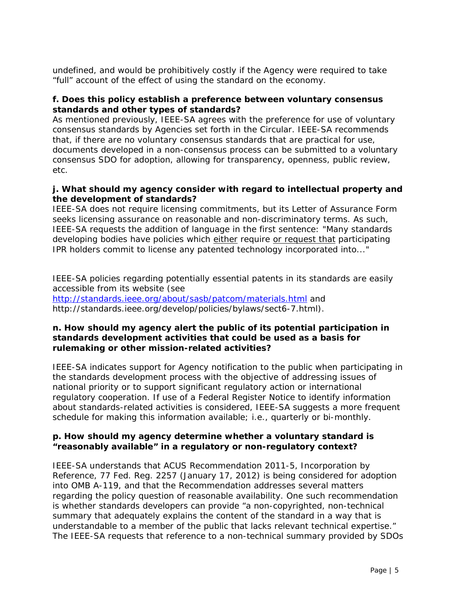undefined, and would be prohibitively costly if the Agency were required to take "full" account of the effect of using the standard on the economy.

## **f. Does this policy establish a preference between voluntary consensus standards and other types of standards?**

As mentioned previously, IEEE-SA agrees with the preference for use of voluntary consensus standards by Agencies set forth in the Circular. IEEE-SA recommends that, if there are no voluntary consensus standards that are practical for use, documents developed in a non-consensus process can be submitted to a voluntary consensus SDO for adoption, allowing for transparency, openness, public review, etc.

# **j. What should my agency consider with regard to intellectual property and the development of standards?**

IEEE-SA does not *require* licensing commitments, but its Letter of Assurance Form *seeks* licensing assurance on reasonable and non-discriminatory terms. As such, IEEE-SA requests the addition of language in the first sentence: "Many standards developing bodies have policies which either require or request that participating IPR holders commit to license any patented technology incorporated into..."

IEEE-SA policies regarding potentially essential patents in its standards are easily accessible from its website (see <http://standards.ieee.org/about/sasb/patcom/materials.html> and http://standards.ieee.org/develop/policies/bylaws/sect6-7.html).

## **n. How should my agency alert the public of its potential participation in standards development activities that could be used as a basis for rulemaking or other mission-related activities?**

IEEE-SA indicates support for Agency notification to the public when participating in the standards development process with the objective of addressing issues of national priority or to support significant regulatory action or international regulatory cooperation. If use of a Federal Register Notice to identify information about standards-related activities is considered, IEEE-SA suggests a more frequent schedule for making this information available; i.e., quarterly or bi-monthly.

# **p. How should my agency determine whether a voluntary standard is "reasonably available" in a regulatory or non-regulatory context?**

IEEE-SA understands that ACUS Recommendation 2011-5, *Incorporation by Reference*, 77 Fed. Reg. 2257 (January 17, 2012) is being considered for adoption into OMB A-119, and that the Recommendation addresses several matters regarding the policy question of reasonable availability. One such recommendation is whether standards developers can provide "a non-copyrighted, non-technical summary that adequately explains the content of the standard in a way that is understandable to a member of the public that lacks relevant technical expertise." The IEEE-SA requests that reference to a non-technical summary provided by SDOs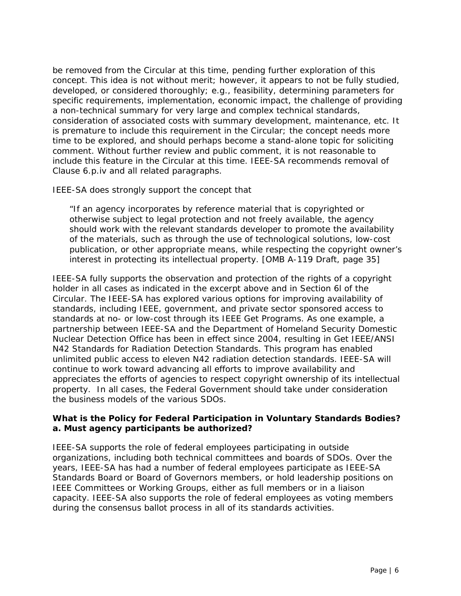be removed from the Circular at this time, pending further exploration of this concept. This idea is not without merit; however, it appears to not be fully studied, developed, or considered thoroughly; e.g., feasibility, determining parameters for specific requirements, implementation, economic impact, the challenge of providing a non-technical summary for very large and complex technical standards, consideration of associated costs with summary development, maintenance, etc. It is premature to include this requirement in the Circular; the concept needs more time to be explored, and should perhaps become a stand-alone topic for soliciting comment. Without further review and public comment, it is not reasonable to include this feature in the Circular at this time. IEEE-SA recommends removal of Clause 6.p.iv and all related paragraphs.

IEEE-SA does strongly support the concept that

"If an agency incorporates by reference material that is copyrighted or otherwise subject to legal protection and not freely available, the agency should work with the relevant standards developer to promote the availability of the materials, such as through the use of technological solutions, low-cost publication, or other appropriate means, while respecting the copyright owner's interest in protecting its intellectual property. [OMB A-119 Draft, page 35]

IEEE-SA fully supports the observation and protection of the rights of a copyright holder in all cases as indicated in the excerpt above and in Section 6l of the Circular. The IEEE-SA has explored various options for improving availability of standards, including IEEE, government, and private sector sponsored access to standards at no- or low-cost through its IEEE Get Programs. As one example, a partnership between IEEE-SA and the Department of Homeland Security Domestic Nuclear Detection Office has been in effect since 2004, resulting in Get IEEE/ANSI N42 Standards for Radiation Detection Standards. This program has enabled unlimited public access to eleven N42 radiation detection standards. IEEE-SA will continue to work toward advancing all efforts to improve availability and appreciates the efforts of agencies to respect copyright ownership of its intellectual property. In all cases, the Federal Government should take under consideration the business models of the various SDOs.

# **What is the Policy for Federal Participation in Voluntary Standards Bodies? a. Must agency participants be authorized?**

IEEE-SA supports the role of federal employees participating in outside organizations, including both technical committees and boards of SDOs. Over the years, IEEE-SA has had a number of federal employees participate as IEEE-SA Standards Board or Board of Governors members, or hold leadership positions on IEEE Committees or Working Groups, either as full members or in a liaison capacity. IEEE-SA also supports the role of federal employees as voting members during the consensus ballot process in all of its standards activities.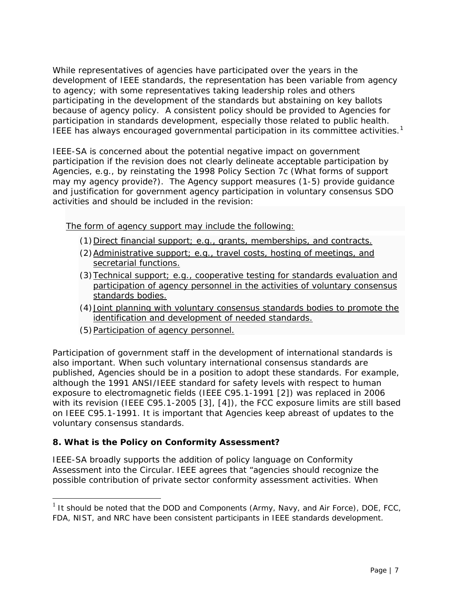While representatives of agencies have participated over the years in the development of IEEE standards, the representation has been variable from agency to agency; with some representatives taking leadership roles and others participating in the development of the standards but abstaining on key ballots because of agency policy. A consistent policy should be provided to Agencies for participation in standards development, especially those related to public health. IEEE has always encouraged governmental participation in its committee activities.<sup>[1](#page-0-0)</sup>

IEEE-SA is concerned about the potential negative impact on government participation if the revision does not clearly delineate acceptable participation by Agencies, e.g., by reinstating the 1998 Policy Section 7c (What forms of support may my agency provide?).The Agency support measures (1-5) provide guidance and justification for government agency participation in voluntary consensus SDO activities and should be included in the revision:

The form of agency support may include the following:

- (1) Direct financial support; e.g., grants, memberships, and contracts.
- (2)Administrative support; e.g., travel costs, hosting of meetings, and secretarial functions.
- (3)Technical support; e.g., cooperative testing for standards evaluation and participation of agency personnel in the activities of voluntary consensus standards bodies.
- (4)Joint planning with voluntary consensus standards bodies to promote the identification and development of needed standards.
- (5) Participation of agency personnel.

Participation of government staff in the development of international standards is also important. When such voluntary international consensus standards are published, Agencies should be in a position to adopt these standards. For example, although the 1991 ANSI/IEEE standard for safety levels with respect to human exposure to electromagnetic fields (IEEE C95.1-1991 [2]) was replaced in 2006 with its revision (IEEE C95.1-2005 [3], [4]), the FCC exposure limits are still based on IEEE C95.1-1991. It is important that Agencies keep abreast of updates to the voluntary consensus standards.

# **8. What is the Policy on Conformity Assessment?**

j

IEEE-SA broadly supports the addition of policy language on Conformity Assessment into the Circular. IEEE agrees that "agencies should recognize the possible contribution of private sector conformity assessment activities. When

 $1$  It should be noted that the DOD and Components (Army, Navy, and Air Force), DOE, FCC, FDA, NIST, and NRC have been consistent participants in IEEE standards development.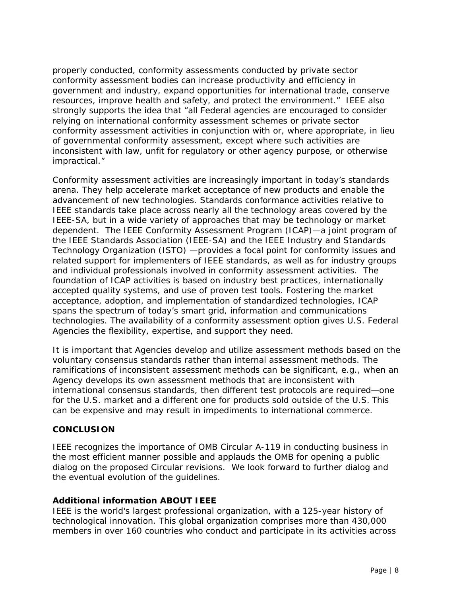properly conducted, conformity assessments conducted by private sector conformity assessment bodies can increase productivity and efficiency in government and industry, expand opportunities for international trade, conserve resources, improve health and safety, and protect the environment." IEEE also strongly supports the idea that "all Federal agencies are encouraged to consider relying on international conformity assessment schemes or private sector conformity assessment activities in conjunction with or, where appropriate, in lieu of governmental conformity assessment, except where such activities are inconsistent with law, unfit for regulatory or other agency purpose, or otherwise impractical."

Conformity assessment activities are increasingly important in today's standards arena. They help accelerate market acceptance of new products and enable the advancement of new technologies. Standards conformance activities relative to IEEE standards take place across nearly all the technology areas covered by the IEEE-SA, but in a wide variety of approaches that may be technology or market dependent. The IEEE Conformity Assessment Program (ICAP)—a joint program of the IEEE Standards Association (IEEE-SA) and the IEEE Industry and Standards Technology Organization (ISTO) —provides a focal point for conformity issues and related support for implementers of IEEE standards, as well as for industry groups and individual professionals involved in conformity assessment activities. The foundation of ICAP activities is based on industry best practices, internationally accepted quality systems, and use of proven test tools. Fostering the market acceptance, adoption, and implementation of standardized technologies, ICAP spans the spectrum of today's smart grid, information and communications technologies. The availability of a conformity assessment option gives U.S. Federal Agencies the flexibility, expertise, and support they need.

It is important that Agencies develop and utilize assessment methods based on the voluntary consensus standards rather than internal assessment methods. The ramifications of inconsistent assessment methods can be significant, e.g., when an Agency develops its own assessment methods that are inconsistent with international consensus standards, then different test protocols are required—one for the U.S. market and a different one for products sold outside of the U.S. This can be expensive and may result in impediments to international commerce.

## **CONCLUSION**

IEEE recognizes the importance of OMB Circular A-119 in conducting business in the most efficient manner possible and applauds the OMB for opening a public dialog on the proposed Circular revisions. We look forward to further dialog and the eventual evolution of the guidelines.

## *Additional information ABOUT IEEE*

IEEE is the world's largest professional organization, with a 125-year history of technological innovation. This global organization comprises more than 430,000 members in over 160 countries who conduct and participate in its activities across